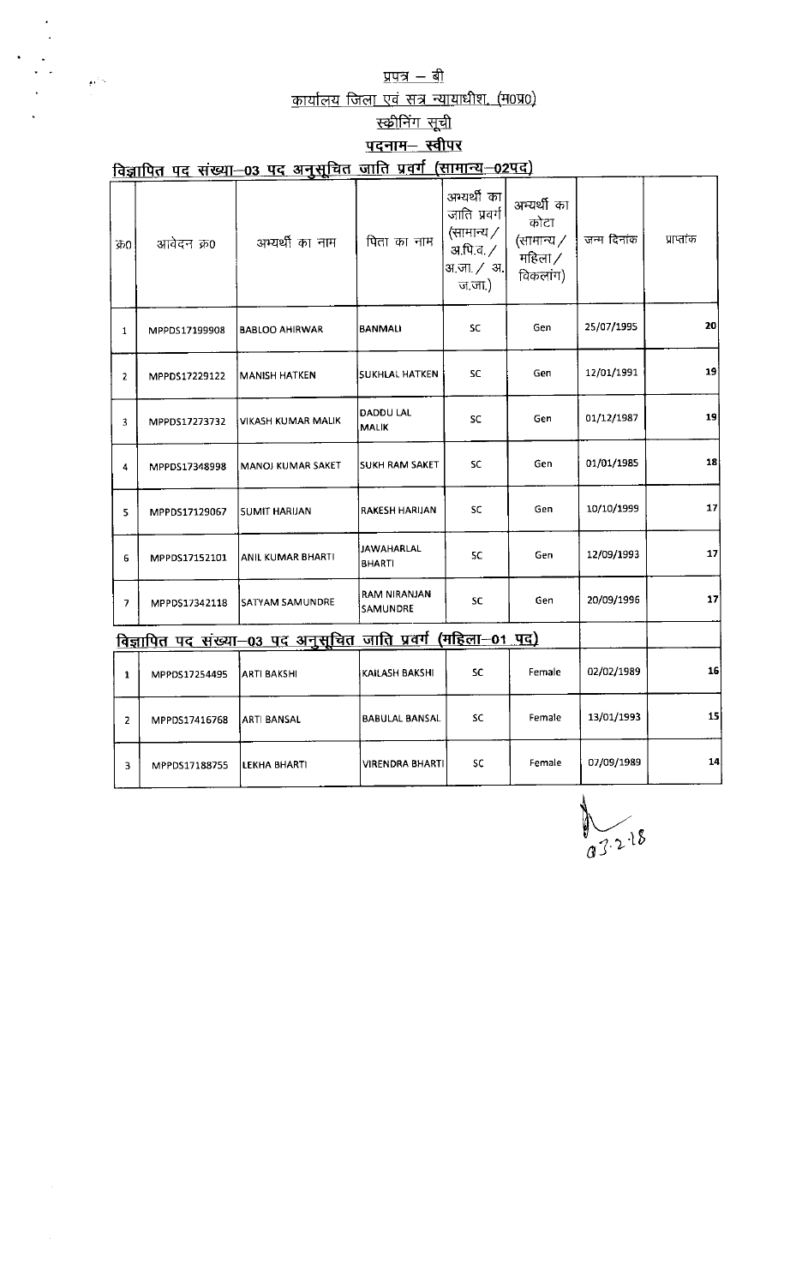## <u>प्रपत्र $-$  बी</u>

 $\sim e^{\zeta}$ 

<u>कार्यालय जिला एवं सत्र न्यायाधीश</u>

# <u>स्क्रीनिंग सूची</u>

## <u>पदनाम– स्वीपर</u>

|                | विज्ञापित पद संख्या-03 पद अनुसूचित जाति प्रवर्ग (सामान्य-02पद) |                                                               |                                    |                                                                                        |                                                          |             |            |  |  |  |
|----------------|----------------------------------------------------------------|---------------------------------------------------------------|------------------------------------|----------------------------------------------------------------------------------------|----------------------------------------------------------|-------------|------------|--|--|--|
| ΦО             | आवेदन क्र0                                                     | अभ्यर्थी का नाम                                               | पिता का नाम                        | अभ्यर्थी का<br>जाति प्रवर्ग<br>(सामान्य $/$<br>अ.पि.व. <i>/</i><br>अ.जा. / अ.<br>ज.ज.) | अम्यर्थी का<br>कोटा<br>(सामान्य /<br>महिला /<br>विकलांग) | जन्म दिनांक | प्राप्तांक |  |  |  |
| $\mathbf{1}$   | MPPDS17199908                                                  | <b>BABLOO AHIRWAR</b>                                         | BANMALI                            | SC                                                                                     | Gen                                                      | 25/07/1995  | 20         |  |  |  |
| 2              | MPPDS17229122                                                  | <b>MANISH HATKEN</b>                                          | <b>SUKHLAL HATKEN</b>              | SC                                                                                     |                                                          | 12/01/1991  | 19         |  |  |  |
| 3              | MPPDS17273732                                                  | VIKASH KUMAR MALIK                                            | DADDU LAL<br>MALIK                 | SC                                                                                     | Gen                                                      | 01/12/1987  | 19         |  |  |  |
| 4              | MPPDS17348998                                                  | MANOJ KUMAR SAKET                                             | SUKH RAM SAKET                     | <b>SC</b>                                                                              | Gen                                                      | 01/01/1985  | 18         |  |  |  |
| 5              | MPPDS17129067                                                  | <b>SUMIT HARIJAN</b>                                          | RAKESH HARIJAN                     | <b>SC</b>                                                                              | Gen                                                      | 10/10/1999  | 17         |  |  |  |
| 6              | MPPDS17152101                                                  | ANIL KUMAR BHARTI                                             | <b>JAWAHARLAL</b><br><b>BHARTI</b> | SC.                                                                                    | Gen                                                      | 12/09/1993  | 17         |  |  |  |
| 7              | MPPDS17342118                                                  | SATYAM SAMUNDRE                                               | RAM NIRANJAN<br>SAMUNDRE           | SC                                                                                     | Gen                                                      | 20/09/1996  | 17         |  |  |  |
|                |                                                                | विज्ञापित पद संख्या-03 पद अनुसूचित जाति प्रवर्ग (महिला-01 पद) |                                    |                                                                                        |                                                          |             |            |  |  |  |
| $\mathbf{1}$   | MPPDS17254495                                                  | <b>ARTI BAKSHI</b>                                            | KAILASH BAKSHI                     | SC                                                                                     | Female                                                   | 02/02/1989  | 16         |  |  |  |
| $\overline{2}$ | MPPDS17416768                                                  | ARTI BANSAL                                                   | <b>BABULAL BANSAL</b>              | <b>SC</b>                                                                              | Female                                                   | 13/01/1993  | 15         |  |  |  |
| 3              | MPPDS17188755                                                  | LEKHA BHARTI                                                  | <b>VIRENDRA BHARTI</b>             | <b>SC</b>                                                                              | Female                                                   | 07/09/1989  | 14         |  |  |  |

 $\frac{1}{93.218}$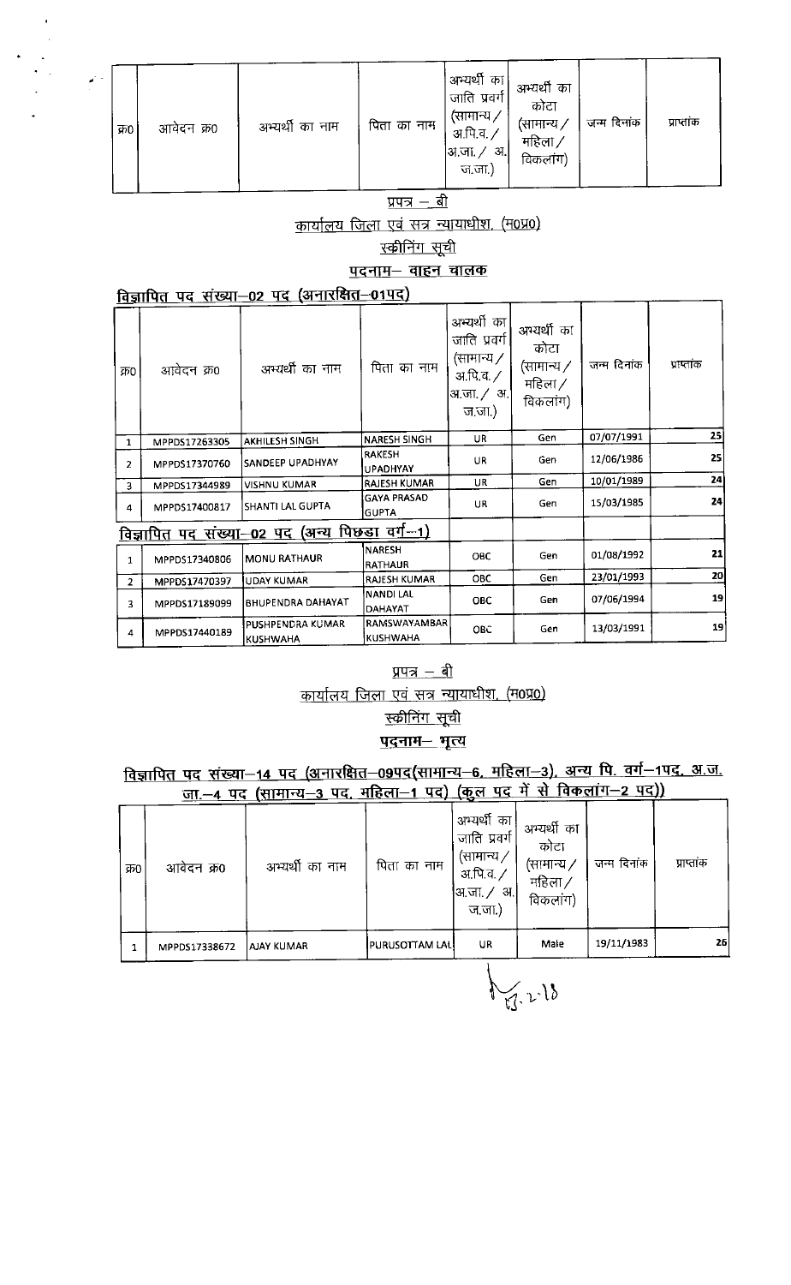| $\mathcal{L}^{\text{max}}$ | क0। | आवेदन क्र0 | अभ्यर्थी का नाम | पिता का नाम | अभ्यर्थी का <br>जाति प्रवर्ग<br>(सामान्य ,<br>अ.पि.व. ,<br> अ.जा. ∕<br>-अ.,<br>ज.जा.) | अभ्यर्थी का<br>कोटा<br>(सामान्य ⁄<br>महिला /<br>विकलांग) | जन्म दिनांक | प्राप्तांक |
|----------------------------|-----|------------|-----------------|-------------|---------------------------------------------------------------------------------------|----------------------------------------------------------|-------------|------------|
|----------------------------|-----|------------|-----------------|-------------|---------------------------------------------------------------------------------------|----------------------------------------------------------|-------------|------------|

#### <u>प्रपत्र – बी</u>

## कार्यालय जिला एवं सत्र न्यायाधीश, (म0प्र0)

<u>स्कीनिंग सूची</u>

<u>पदनाम– वाहन चालक</u>

#### विज्ञापित पद संख्या-02 पद (अनारक्षित-01पद)

| क्र0           | आवेदन क्र0    | अभ्यर्थी का नाम                                      | पिता का नाम                        | अभ्यर्थी का<br>जाति प्रवर्ग<br>(सामान्य /<br>अ.पि.व. <i>/</i><br>अजा. / अ <br>ज.जा.) | अभ्यर्थी का<br>कोटा<br>(सामान्य /<br>महिला $\angle$<br>विकलांग) | जन्म दिनांक | प्राप्तांक |
|----------------|---------------|------------------------------------------------------|------------------------------------|--------------------------------------------------------------------------------------|-----------------------------------------------------------------|-------------|------------|
| $\mathbf{1}$   | MPPDS17263305 | <b>AKHILESH SINGH</b>                                | <b>NARESH SINGH</b>                | UR.                                                                                  | Gen                                                             | 07/07/1991  | 25         |
| $\overline{2}$ | MPPDS17370760 | SANDEEP UPADHYAY                                     | <b>RAKESH</b><br><b>UPADHYAY</b>   | UR.                                                                                  | Gen                                                             | 12/06/1986  | 25         |
| 3.             | MPPDS17344989 | <b>VISHNU KUMAR</b>                                  | <b>RAJESH KUMAR</b>                | UR                                                                                   | Gen                                                             | 10/01/1989  | 24         |
| 4              | MPPDS17400817 | <b>SHANTI LAL GUPTA</b>                              | <b>GAYA PRASAD</b><br><b>GUPTA</b> | UR.                                                                                  | Gen                                                             | 15/03/1985  | 24         |
|                |               | <u>विज्ञापित पद संख्या–02 पद (अन्य पिछडा वर्ग–1)</u> |                                    |                                                                                      |                                                                 |             |            |
| $\mathbf{1}$   | MPPDS17340806 | MONU RATHAUR                                         | <b>NARESH</b><br><b>RATHAUR</b>    | <b>OBC</b>                                                                           | Gen                                                             | 01/08/1992  | 21         |
| $\overline{2}$ | MPPDS17470397 | UDAY KUMAR                                           | <b>RAJESH KUMAR</b>                | <b>OBC</b>                                                                           | Gen                                                             | 23/01/1993  | 20         |
| 3              | MPPDS17189099 | BHUPENDRA DAHAYAT                                    | <b>NANDI LAL</b><br><b>DAHAYAT</b> | <b>OBC</b>                                                                           | Gen                                                             | 07/06/1994  | 19         |
| 4              | MPPDS17440189 | PUSHPENDRA KUMAR<br><b>KUSHWAHA</b>                  | RAMSWAYAMBAR<br><b>KUSHWAHA</b>    | OBC                                                                                  | Gen                                                             | 13/03/1991  | 19         |

#### <u>प्रपत्र – बी</u>

कार्यालय जिला एवं सत्र न्यायाधीश. (म0प्र0)

# <u>स्कीनिंग सूची</u>

<u>पदनाम– भृत्य</u>

# <u>विज्ञापित पद संख्या–14 पद (अनारक्षित–09पद(सामान्य–6, महिला–3), अन्य पि. वर्ग–1पद, अ.ज.</u><br>जा.–4 पद (सामान्य<u>–3 पद, महिला–1 पद) (कुल पद में से विकलांग–2 पद)</u>)

| क्र0 | आवेदन क्र0    | अभ्यर्थी का नाम | पिता का नाम           | अभ्यर्थी का<br>जाति प्रवर्ग<br>(सामान्य $\prime$<br>अ.पि.व. ,<br> अ.जा. ∕<br>अ. <br>ज.जा.) | अभ्यर्थी का<br>कोटा<br>(सामान्य ∕<br>महिला $\times$<br>विकलांग) | जन्म दिनांक | प्राप्ताक |
|------|---------------|-----------------|-----------------------|--------------------------------------------------------------------------------------------|-----------------------------------------------------------------|-------------|-----------|
|      | MPPDS17338672 | AJAY KUMAR      | <b>PURUSOTTAM LAL</b> | UR                                                                                         | Male                                                            | 19/11/1983  | 26        |

 $\bigvee_{\mathbb{M}}\mathbb{R}^{13}$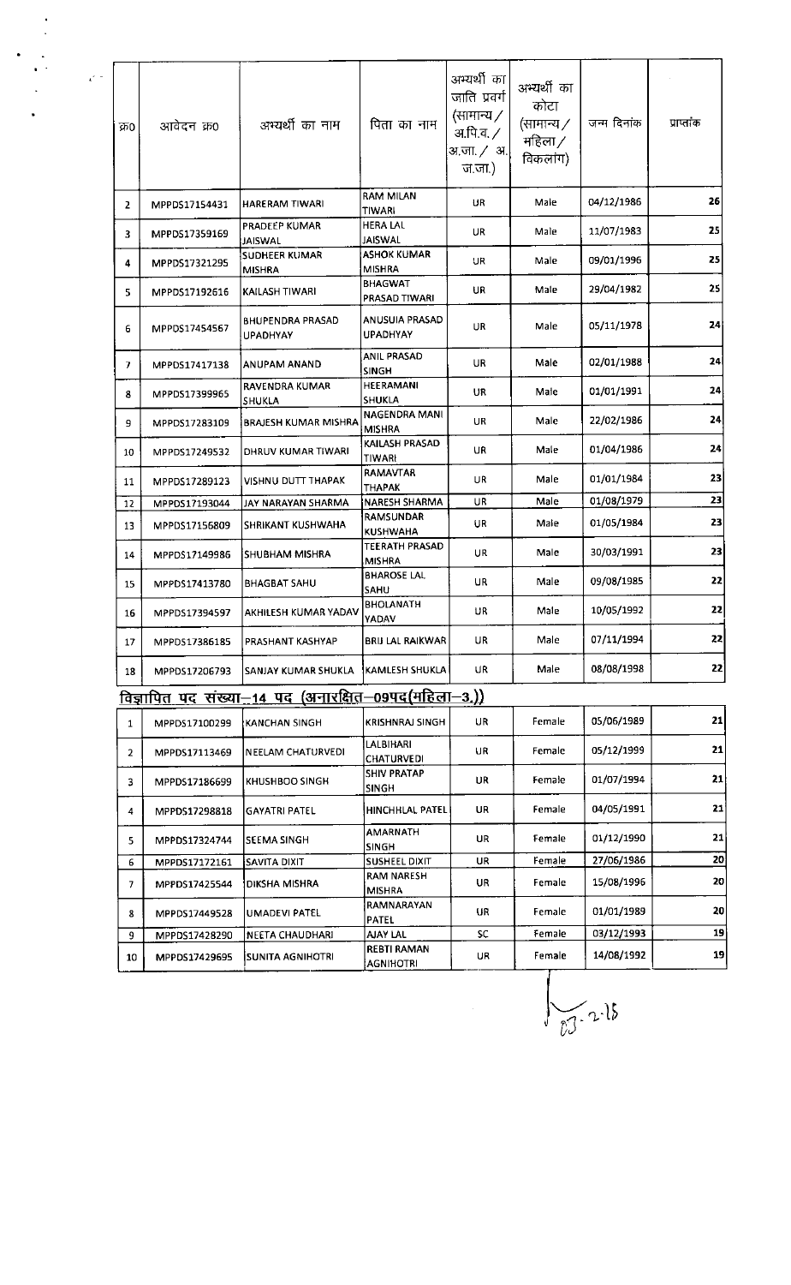| क्र0         | आवेदन क्र0    | अभ्यर्थी का नाम                                             | पिता का नाम                            | अभ्यर्थी का<br>जाति प्रवर्ग<br>(सामान्य /<br>अ.पि.व. ⁄<br>अ.जा. ⁄ अ.<br>ज.जा.) | अभ्यर्थी का<br>कोटा<br>(सामान्य /<br>महिला /<br>विकलांग) | जन्म दिनांक | प्राप्तांक |
|--------------|---------------|-------------------------------------------------------------|----------------------------------------|--------------------------------------------------------------------------------|----------------------------------------------------------|-------------|------------|
| 2            | MPPDS17154431 | HARERAM TIWARI                                              | <b>RAM MILAN</b><br>TIWARI             | UR                                                                             | Male                                                     | 04/12/1986  | 26         |
| 3.           | MPPDS17359169 | PRADEEP KUMAR<br><b>JAISWAL</b>                             | <b>HERA LAL</b><br><b>JAISWAL</b>      | UR                                                                             | Male                                                     | 11/07/1983  | 25         |
| 4            | MPPDS17321295 | SUDHEER KUMAR<br>MISHRA                                     | <b>ASHOK KUMAR</b><br><b>MISHRA</b>    | UR                                                                             | Male                                                     | 09/01/1996  | 25         |
| 5.           | MPPDS17192616 | KAILASH TIWARI                                              | <b>BHAGWAT</b><br>PRASAD TIWARI        | UR.                                                                            | Male                                                     | 29/04/1982  | 25         |
| 6            | MPPDS17454567 | <b>BHUPENDRA PRASAD</b><br><b>UPADHYAY</b>                  | ANUSUIA PRASAD<br>UPADHYAY             | UR                                                                             | Male                                                     | 05/11/1978  | 24         |
| 7.           | MPPDS17417138 | ANUPAM ANAND                                                | <b>ANIL PRASAD</b><br><b>SINGH</b>     | UR.                                                                            | Male                                                     | 02/01/1988  | 24         |
| 8            | MPPDS17399965 | RAVENDRA KUMAR<br>SHUKLA                                    | HEERAMANI<br><b>SHUKLA</b>             | UR                                                                             | Male                                                     | 01/01/1991  | 24         |
| 9.           | MPPDS17283109 | BRAJESH KUMAR MISHRA                                        | NAGENDRA MANI<br><b>MISHRA</b>         | UR.<br>Male                                                                    |                                                          | 22/02/1986  | 24         |
| 10           | MPPDS17249532 | DHRUV KUMAR TIWARI                                          | KAILASH PRASAD<br>TIWARI               | UR<br>Male                                                                     |                                                          | 01/04/1986  | 24         |
| 11           | MPPDS17289123 | VISHNU DUTT THAPAK                                          | RAMAVTAR<br><b>THAPAK</b>              | UR<br>Male                                                                     |                                                          | 01/01/1984  | 23         |
| 12           | MPPDS17193044 | JAY NARAYAN SHARMA                                          | UR.<br>NARESH SHARMA                   |                                                                                | Male                                                     | 01/08/1979  | 23         |
| 13           | MPPDS17156809 | SHRIKANT KUSHWAHA                                           | RAMSUNDAR<br>KUSHWAHA                  | UR.<br>Male                                                                    |                                                          | 01/05/1984  | 23         |
| 14           | MPPDS17149986 | SHUBHAM MISHRA                                              | TEERATH PRASAD<br><b>MISHRA</b>        | UR.                                                                            | Male                                                     | 30/03/1991  | 23         |
| 15           | MPPDS17413780 | BHAGBAT SAHU                                                | <b>BHAROSE LAL</b><br>SAHU             | UR                                                                             | Male                                                     | 09/08/1985  | 22         |
| 16           | MPPDS17394597 | AKHILESH KUMAR YADAV                                        | <b>BHOLANATH</b><br>YADAV              | UR                                                                             | Male                                                     | 10/05/1992  | 22         |
| 17           | MPPD517386185 | PRASHANT KASHYAP                                            | <b>BRIJ LAL RAIKWAR</b>                | UR                                                                             | Male                                                     | 07/11/1994  | 22         |
| 18           | MPPDS17206793 | SANJAY KUMAR SHUKLA                                         | KAMLESH SHUKLA                         | UR                                                                             | Male                                                     | 08/08/1998  | 22         |
|              |               | <u>विज्ञापित पद संख्या—14 पद (अनारक्षित—09पद(महिला—3.))</u> |                                        |                                                                                |                                                          |             |            |
| $\mathbf{1}$ | MPPDS17100299 | KANCHAN SINGH                                               | <b>KRISHNRAJ SINGH</b>                 | UR                                                                             | Female                                                   | 05/06/1989  | 21         |
| $\mathbf{2}$ | MPPDS17113469 | NEELAM CHATURVEDI                                           | LALBIHARI<br>CHATURVEDI                | UR                                                                             | Female                                                   | 05/12/1999  | 21         |
| 3            | MPPDS17186699 | KHUSHBOO SINGH                                              | <b>SHIV PRATAP</b><br><b>SINGH</b>     | UR                                                                             | Female                                                   | 01/07/1994  | 21         |
| 4            | MPPDS17298818 | <b>GAYATRI PATEL</b>                                        | HINCHHLAL PATEL                        | UR                                                                             |                                                          | 04/05/1991  | 21         |
| 5            | MPPDS17324744 | <b>SEEMA SINGH</b>                                          | AMARNATH<br><b>SINGH</b>               | UR                                                                             | Female                                                   | 01/12/1990  | 21         |
| 6            | MPPDS17172161 | SAVITA DIXIT                                                | <b>SUSHEEL DIXIT</b>                   | UR                                                                             | Female                                                   | 27/06/1986  | 20         |
| 7.           | MPPDS17425544 | DIKSHA MISHRA                                               | <b>RAM NARESH</b><br><b>MISHRA</b>     | UR                                                                             | Female                                                   | 15/08/1996  | 20         |
| 8            | MPPDS17449528 | UMADEVI PATEL                                               | RAMNARAYAN<br><b>PATEL</b>             | UR                                                                             | Female                                                   | 01/01/1989  | 20         |
| 9            | MPPDS17428290 | NEETA CHAUDHARI                                             | <b>AJAY LAL</b>                        | <b>SC</b>                                                                      | Female                                                   | 03/12/1993  | 19         |
| 10           | MPPDS17429695 | <b>SUNITA AGNIHOTRI</b>                                     | <b>REBTI RAMAN</b><br><b>AGNIHOTRI</b> | UR                                                                             | Female                                                   | 14/08/1992  | 19         |

 $\frac{1}{\sqrt{2}}$ 

 $\frac{1}{2}$  .

 $\frac{1}{\log 2.28}$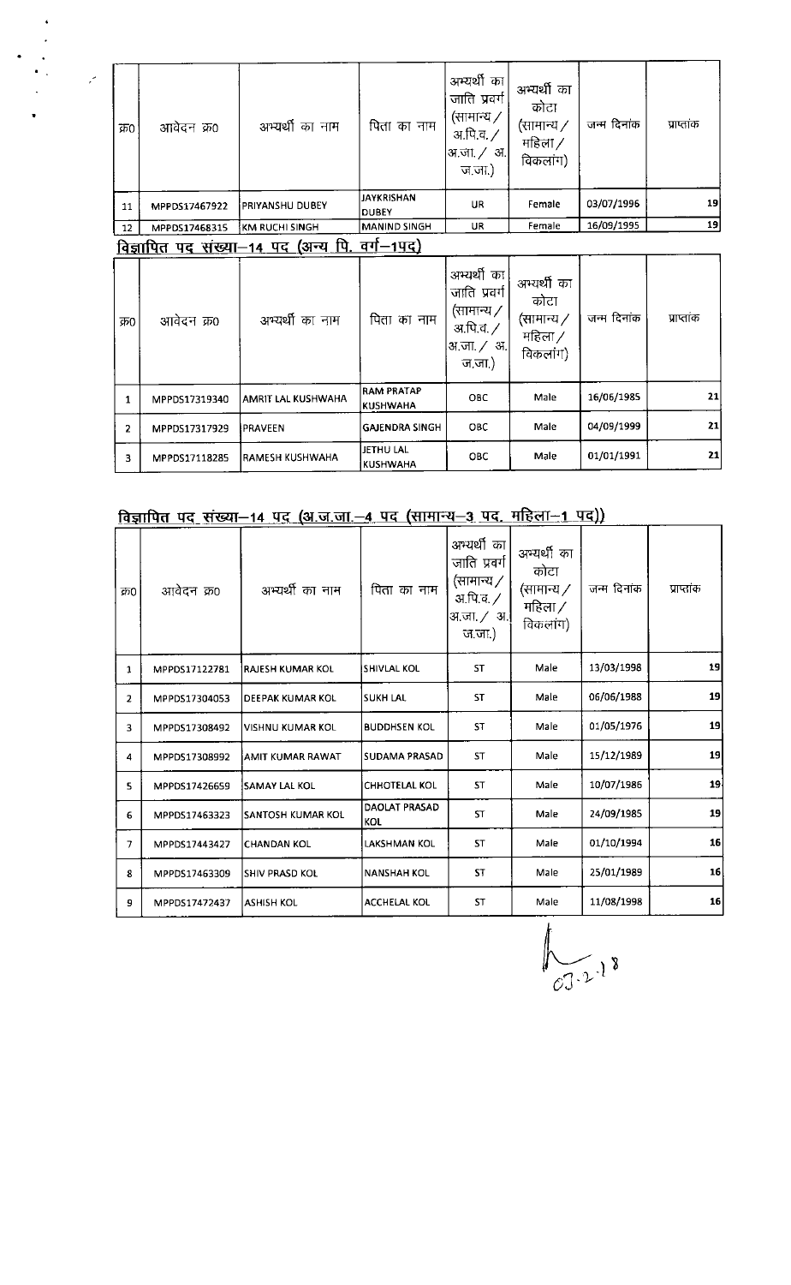| क्र0           | आवेदन क्र0    | अभ्यर्थी का नाम                                                     | पिता का नाम                          | अभ्यर्थी का<br>जाति प्रवर्ग<br>(सामान्य $\mathcal Y$<br>अ.पि.च. <i>/</i><br>अ.जा. / अ.<br>ज.जा.) | अभ्यर्थी का<br>कोटा<br>(सामान्य ∕<br>महिला /<br>विकलांग)        | जन्म दिनांक | प्राप्तांक |
|----------------|---------------|---------------------------------------------------------------------|--------------------------------------|--------------------------------------------------------------------------------------------------|-----------------------------------------------------------------|-------------|------------|
| 11             | MPPDS17467922 | PRIYANSHU DUBEY                                                     | <b>JAYKRISHAN</b><br><b>DUBEY</b>    | Female<br>UR                                                                                     |                                                                 | 03/07/1996  | 19         |
| 12             | MPPDS17468315 | Female<br><b>MANIND SINGH</b><br><b>UR</b><br><b>KM RUCHI SINGH</b> |                                      |                                                                                                  | 16/09/1995                                                      | 19          |            |
|                |               | <u>विज्ञापित पद संख्या—14 पद (अन्य पि. </u>                         | <u>वर्ग—1पद)</u>                     |                                                                                                  |                                                                 |             |            |
| क्र0           | आवेदन क्र0    | अभ्यर्थी का नाम                                                     | पिता का नाम                          | अभ्यर्थी का<br>जाति प्रवर्ग<br>(सामान्य /<br>अ.पि.व. <i>/</i><br>अ.जा. / अ.<br>ज.जा.)            | अभ्यर्थी का<br>कोटा<br>(सामान्य $\angle$<br>महिला /<br>विकलांग) | जन्म दिनांक | प्राप्तांक |
| $\mathbf{1}$   | MPPDS17319340 | AMRIT LAL KUSHWAHA                                                  | <b>RAM PRATAP</b><br><b>KUSHWAHA</b> | <b>OBC</b>                                                                                       | Male                                                            | 16/06/1985  | 21         |
| $\overline{2}$ | MPPDS17317929 | PRAVEEN                                                             | <b>GAJENDRA SINGH</b>                | <b>OBC</b>                                                                                       | Male                                                            | 04/09/1999  | 21         |
| 3.             | MPPDS17118285 | IRAMESH KUSHWAHA                                                    | JETHU LAL<br><b>KUSHWAHA</b>         | <b>OBC</b>                                                                                       | Male                                                            | 01/01/1991  | 21         |

## <u>विज्ञापित पद संख्या–14 पद (अ.ज.जा.–4 पद (सामान्य–3 पद, महिला–1 पद))</u>

 $\ddot{\phantom{0}}$ 

| क्र0                    | आवेदन क्र0    | अभ्यर्थी का नाम         | पिता का नाम                      | अभ्यर्थी का<br>जाति प्रवर्ग<br>(सामान्य $\angle$<br>अ.पि.व. /<br>अजा./ अ <br>ज.जा.) | अभ्यर्थी का<br>कोटा<br>(सामान्य ∕<br>महिला /<br>विकलांग) | जन्म दिनांक | प्राप्तांक |
|-------------------------|---------------|-------------------------|----------------------------------|-------------------------------------------------------------------------------------|----------------------------------------------------------|-------------|------------|
| 1                       | MPPDS17122781 | RAJESH KUMAR KOL        | SHIVLAL KOL                      | <b>ST</b>                                                                           | 13/03/1998<br>Male                                       |             | 19         |
| $\overline{2}$          | MPPDS17304053 | DEEPAK KUMAR KOL        | lsukh lal                        |                                                                                     | Male                                                     | 06/06/1988  | 19         |
| 3                       | MPPDS17308492 | <b>VISHNU KUMAR KOL</b> | <b>ST</b><br><b>BUDDHSEN KOL</b> |                                                                                     | Male                                                     | 01/05/1976  | 19         |
| 4                       | MPPDS17308992 | AMIT KUMAR RAWAT        | SUDAMA PRASAD                    | <b>ST</b>                                                                           | Male                                                     | 15/12/1989  | 19         |
| $\overline{\mathbf{S}}$ | MPPDS17426659 | <b>SAMAY LAL KOL</b>    | <b>CHHOTELAL KOL</b>             | <b>ST</b>                                                                           | Male                                                     | 10/07/1986  | 19         |
| 6                       | MPPD517463323 | SANTOSH KUMAR KOL       | DAOLAT PRASAD<br>KOL             | <b>ST</b>                                                                           | Male                                                     | 24/09/1985  | 19         |
| 7                       | MPPDS17443427 | <b>CHANDAN KOL</b>      | LAKSHMAN KOL                     | <b>ST</b>                                                                           | Male                                                     | 01/10/1994  | 16         |
| 8                       | MPPDS17463309 | <b>SHIV PRASD KOL</b>   | <b>NANSHAH KOL</b>               | <b>ST</b>                                                                           | Male                                                     | 25/01/1989  | 16         |
| 9                       | MPPDS17472437 | <b>ASHISH KOL</b>       | <b>ACCHELAL KOL</b>              | <b>ST</b>                                                                           | Male                                                     | 11/08/1998  | 16         |

 $\int_{CJ-2^{-1}}$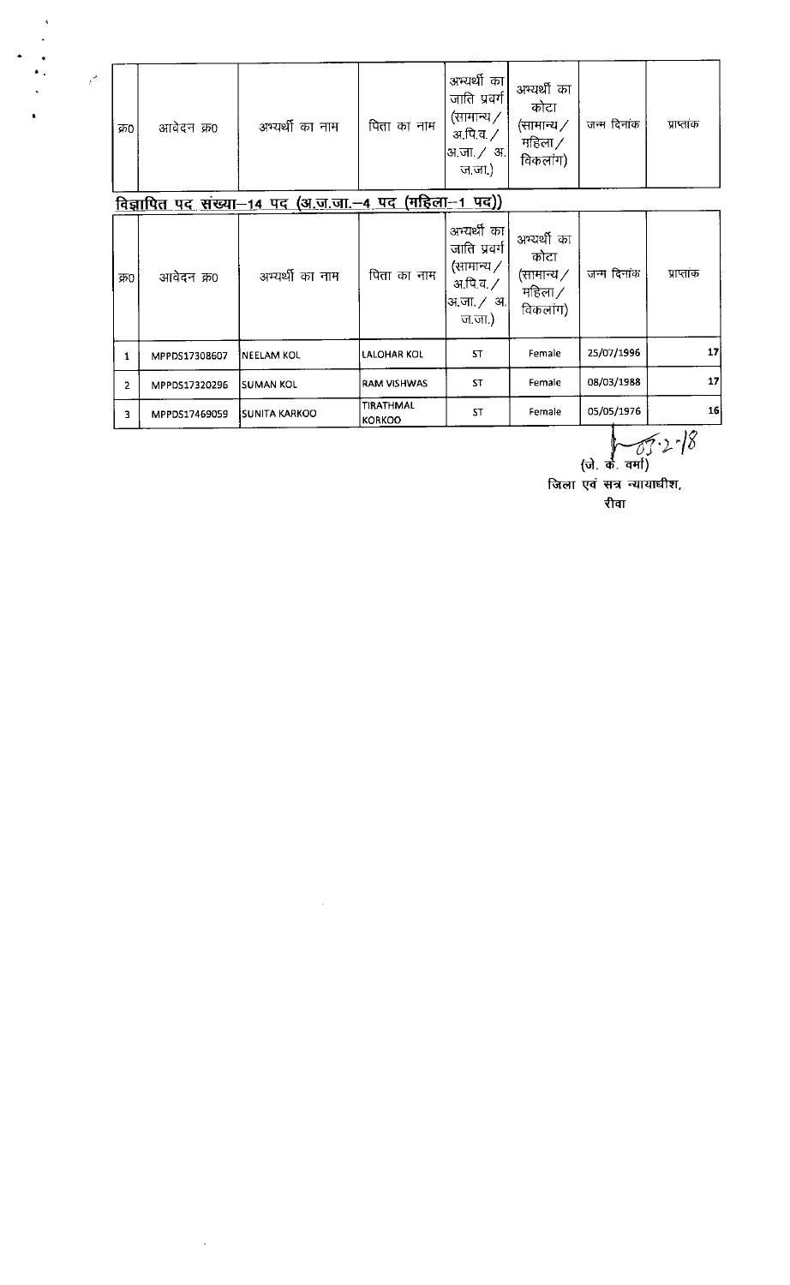| $\ddot{\phantom{1}}$                    |                |               |                                                       |                                   |                                                                                                            |                                                                     |             |            |
|-----------------------------------------|----------------|---------------|-------------------------------------------------------|-----------------------------------|------------------------------------------------------------------------------------------------------------|---------------------------------------------------------------------|-------------|------------|
| $\bullet$ ,<br>$\mathbb{R}^{2\times 1}$ | क्र0           | आवेदन क्र0    | अभ्यर्थी का नाम                                       | पिता का नाम                       | अभ्यर्थी का<br>जाति प्रवर्ग<br>(सामान्य $\angle$<br>अ.पि.व. <b>/</b><br> अ.जा. ∕ अ. <br>ज.जा.)             | अभ्यर्थी का<br>कोटा<br>(सामान्य $\nearrow$<br>महिला $/$<br>विकलांग) | जन्म दिनांक | प्राप्तांक |
|                                         |                |               | विज्ञापित पद संख्या-14 पद (अ.ज.जा.-4 पद (महिला-1 पद)) |                                   |                                                                                                            |                                                                     |             |            |
|                                         | क्र0           | आवेदन क्र0    | अभ्यर्थी का नाम                                       | पिता का नाम                       | अन्यर्थी का<br>जाति प्रवर्ग<br>(सामान्य $\overline{Z}$<br>आपि.व. $\angle$<br>अ.जा <i>. / अ</i> .<br>ज.जा.) | अभ्यर्थी का<br>कोटा<br>(सामान्य ∕<br>महिला $/$<br>विकलांग)          | जन्म दिनांक | प्राप्तांक |
|                                         | $\mathbf{1}$   | MPPDS17308607 | <b>NEELAM KOL</b>                                     | <b>LALOHAR KOL</b>                | <b>ST</b>                                                                                                  | Female                                                              | 25/07/1996  | 17         |
|                                         | $\overline{2}$ | MPPDS17320296 | <b>SUMAN KOL</b>                                      | <b>RAM VISHWAS</b>                | <b>ST</b>                                                                                                  | Female                                                              | 08/03/1988  | 17         |
|                                         | 3              | MPPDS17469059 | <b>SUNITA KARKOO</b>                                  | <b>TIRATHMAL</b><br><b>KORKOO</b> | <b>ST</b>                                                                                                  | Female                                                              | 05/05/1976  | 16         |

 $\hat{\mathcal{L}}$ 

 $\sqrt{3} \cdot 2^{-18}$ <br>(जे. के. वर्मा)<br>जिला एवं सत्र न्यायाधीश, रीवा